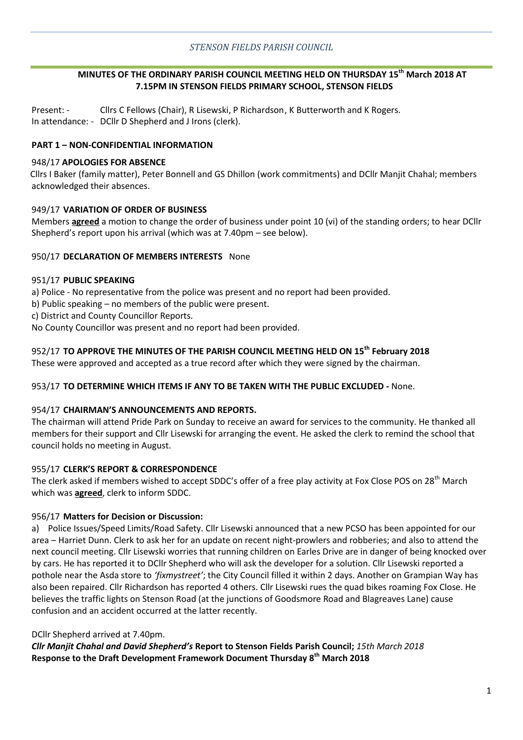# **MINUTES OF THE ORDINARY PARISH COUNCIL MEETING HELD ON THURSDAY 15th March 2018 AT 7.15PM IN STENSON FIELDS PRIMARY SCHOOL, STENSON FIELDS**

Present: - Cllrs C Fellows (Chair), R Lisewski, P Richardson, K Butterworth and K Rogers. In attendance: - DCllr D Shepherd and J Irons (clerk).

### **PART 1 – NON-CONFIDENTIAL INFORMATION**

#### 948/17 **APOLOGIES FOR ABSENCE**

Cllrs I Baker (family matter), Peter Bonnell and GS Dhillon (work commitments) and DCllr Manjit Chahal; members acknowledged their absences.

#### 949/17 **VARIATION OF ORDER OF BUSINESS**

Members **agreed** a motion to change the order of business under point 10 (vi) of the standing orders; to hear DCllr Shepherd's report upon his arrival (which was at 7.40pm – see below).

#### 950/17 **DECLARATION OF MEMBERS INTERESTS** None

#### 951/17 **PUBLIC SPEAKING**

a) Police - No representative from the police was present and no report had been provided.

b) Public speaking – no members of the public were present.

c) District and County Councillor Reports.

No County Councillor was present and no report had been provided.

# 952/17 **TO APPROVE THE MINUTES OF THE PARISH COUNCIL MEETING HELD ON 15th February 2018**

These were approved and accepted as a true record after which they were signed by the chairman.

#### 953/17 **TO DETERMINE WHICH ITEMS IF ANY TO BE TAKEN WITH THE PUBLIC EXCLUDED -** None.

#### 954/17 **CHAIRMAN'S ANNOUNCEMENTS AND REPORTS.**

The chairman will attend Pride Park on Sunday to receive an award for services to the community. He thanked all members for their support and Cllr Lisewski for arranging the event. He asked the clerk to remind the school that council holds no meeting in August.

#### 955/17 **CLERK'S REPORT & CORRESPONDENCE**

The clerk asked if members wished to accept SDDC's offer of a free play activity at Fox Close POS on 28<sup>th</sup> March which was **agreed**, clerk to inform SDDC.

#### 956/17 **Matters for Decision or Discussion:**

a) Police Issues/Speed Limits/Road Safety. Cllr Lisewski announced that a new PCSO has been appointed for our area – Harriet Dunn. Clerk to ask her for an update on recent night-prowlers and robberies; and also to attend the next council meeting. Cllr Lisewski worries that running children on Earles Drive are in danger of being knocked over by cars. He has reported it to DCllr Shepherd who will ask the developer for a solution. Cllr Lisewski reported a pothole near the Asda store to *'fixmystreet'*; the City Council filled it within 2 days. Another on Grampian Way has also been repaired. Cllr Richardson has reported 4 others. Cllr Lisewski rues the quad bikes roaming Fox Close. He believes the traffic lights on Stenson Road (at the junctions of Goodsmore Road and Blagreaves Lane) cause confusion and an accident occurred at the latter recently.

#### DCllr Shepherd arrived at 7.40pm.

*Cllr Manjit Chahal and David Shepherd's* **Report to Stenson Fields Parish Council;** *15th March 2018* **Response to the Draft Development Framework Document Thursday 8th March 2018**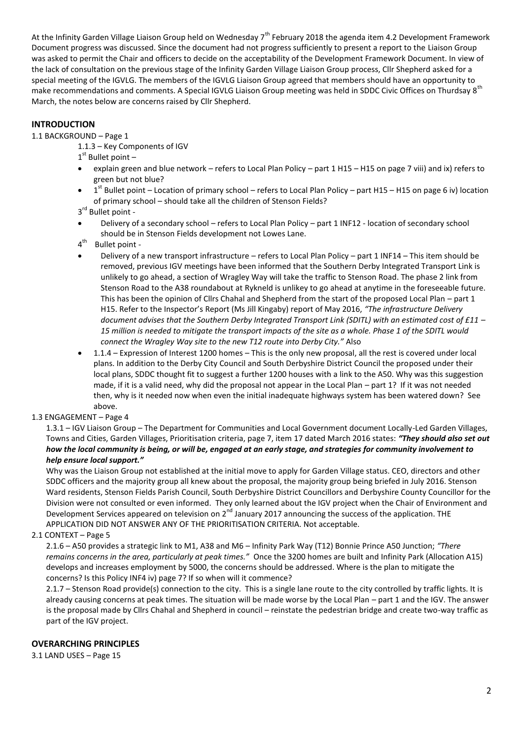At the Infinity Garden Village Liaison Group held on Wednesday 7<sup>th</sup> February 2018 the agenda item 4.2 Development Framework Document progress was discussed. Since the document had not progress sufficiently to present a report to the Liaison Group was asked to permit the Chair and officers to decide on the acceptability of the Development Framework Document. In view of the lack of consultation on the previous stage of the Infinity Garden Village Liaison Group process, Cllr Shepherd asked for a special meeting of the IGVLG. The members of the IGVLG Liaison Group agreed that members should have an opportunity to make recommendations and comments. A Special IGVLG Liaison Group meeting was held in SDDC Civic Offices on Thurdsay 8<sup>th</sup> March, the notes below are concerns raised by Cllr Shepherd.

# **INTRODUCTION**

#### 1.1 BACKGROUND – Page 1

1.1.3 – Key Components of IGV

1<sup>st</sup> Bullet point -

- explain green and blue network refers to Local Plan Policy part 1 H15 H15 on page 7 viii) and ix) refers to green but not blue?
- $\bullet$  1<sup>st</sup> Bullet point Location of primary school refers to Local Plan Policy part H15 H15 on page 6 iv) location of primary school – should take all the children of Stenson Fields?
- 3<sup>rd</sup> Bullet point -
- Delivery of a secondary school refers to Local Plan Policy part 1 INF12 location of secondary school should be in Stenson Fields development not Lowes Lane.
- $4^{\text{th}}$ Bullet point -
- Delivery of a new transport infrastructure refers to Local Plan Policy part 1 INF14 This item should be removed, previous IGV meetings have been informed that the Southern Derby Integrated Transport Link is unlikely to go ahead, a section of Wragley Way will take the traffic to Stenson Road. The phase 2 link from Stenson Road to the A38 roundabout at Rykneld is unlikey to go ahead at anytime in the foreseeable future. This has been the opinion of Cllrs Chahal and Shepherd from the start of the proposed Local Plan – part 1 H15. Refer to the Inspector's Report (Ms Jill Kingaby) report of May 2016, *"The infrastructure Delivery document advises that the Southern Derby Integrated Transport Link (SDITL) with an estimated cost of £11 – 15 million is needed to mitigate the transport impacts of the site as a whole. Phase 1 of the SDITL would connect the Wragley Way site to the new T12 route into Derby City."* Also
- 1.1.4 Expression of Interest 1200 homes This is the only new proposal, all the rest is covered under local plans. In addition to the Derby City Council and South Derbyshire District Council the proposed under their local plans, SDDC thought fit to suggest a further 1200 houses with a link to the A50. Why was this suggestion made, if it is a valid need, why did the proposal not appear in the Local Plan – part 1? If it was not needed then, why is it needed now when even the initial inadequate highways system has been watered down? See above.

#### 1.3 ENGAGEMENT – Page 4

1.3.1 – IGV Liaison Group – The Department for Communities and Local Government document Locally-Led Garden Villages, Towns and Cities, Garden Villages, Prioritisation criteria, page 7, item 17 dated March 2016 states: *"They should also set out how the local community is being, or will be, engaged at an early stage, and strategies for community involvement to help ensure local support."*

Why was the Liaison Group not established at the initial move to apply for Garden Village status. CEO, directors and other SDDC officers and the majority group all knew about the proposal, the majority group being briefed in July 2016. Stenson Ward residents, Stenson Fields Parish Council, South Derbyshire District Councillors and Derbyshire County Councillor for the Division were not consulted or even informed. They only learned about the IGV project when the Chair of Environment and Development Services appeared on television on 2<sup>nd</sup> January 2017 announcing the success of the application. THE APPLICATION DID NOT ANSWER ANY OF THE PRIORITISATION CRITERIA. Not acceptable.

#### 2.1 CONTEXT – Page 5

2.1.6 – A50 provides a strategic link to M1, A38 and M6 – Infinity Park Way (T12) Bonnie Prince A50 Junction; *"There remains concerns in the area, particularly at peak times."* Once the 3200 homes are built and Infinity Park (Allocation A15) develops and increases employment by 5000, the concerns should be addressed. Where is the plan to mitigate the concerns? Is this Policy INF4 iv) page 7? If so when will it commence?

2.1.7 – Stenson Road provide(s) connection to the city. This is a single lane route to the city controlled by traffic lights. It is already causing concerns at peak times. The situation will be made worse by the Local Plan – part 1 and the IGV. The answer is the proposal made by Cllrs Chahal and Shepherd in council – reinstate the pedestrian bridge and create two-way traffic as part of the IGV project.

#### **OVERARCHING PRINCIPLES**

3.1 LAND USES – Page 15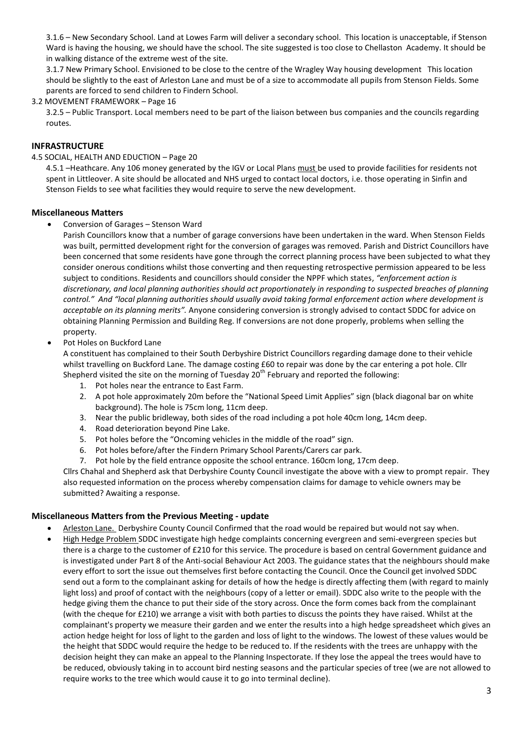3.1.6 – New Secondary School. Land at Lowes Farm will deliver a secondary school. This location is unacceptable, if Stenson Ward is having the housing, we should have the school. The site suggested is too close to Chellaston Academy. It should be in walking distance of the extreme west of the site.

3.1.7 New Primary School. Envisioned to be close to the centre of the Wragley Way housing development This location should be slightly to the east of Arleston Lane and must be of a size to accommodate all pupils from Stenson Fields. Some parents are forced to send children to Findern School.

#### 3.2 MOVEMENT FRAMEWORK – Page 16

3.2.5 – Public Transport. Local members need to be part of the liaison between bus companies and the councils regarding routes.

#### **INFRASTRUCTURE**

#### 4.5 SOCIAL, HEALTH AND EDUCTION – Page 20

4.5.1 -Heathcare. Any 106 money generated by the IGV or Local Plans must be used to provide facilities for residents not spent in Littleover. A site should be allocated and NHS urged to contact local doctors, i.e. those operating in Sinfin and Stenson Fields to see what facilities they would require to serve the new development.

#### **Miscellaneous Matters**

Conversion of Garages – Stenson Ward

Parish Councillors know that a number of garage conversions have been undertaken in the ward. When Stenson Fields was built, permitted development right for the conversion of garages was removed. Parish and District Councillors have been concerned that some residents have gone through the correct planning process have been subjected to what they consider onerous conditions whilst those converting and then requesting retrospective permission appeared to be less subject to conditions. Residents and councillors should consider the NPPF which states, *"enforcement action is discretionary, and local planning authorities should act proportionately in responding to suspected breaches of planning control." And "local planning authorities should usually avoid taking formal enforcement action where development is acceptable on its planning merits".* Anyone considering conversion is strongly advised to contact SDDC for advice on obtaining Planning Permission and Building Reg. If conversions are not done properly, problems when selling the property.

#### Pot Holes on Buckford Lane

A constituent has complained to their South Derbyshire District Councillors regarding damage done to their vehicle whilst travelling on Buckford Lane. The damage costing £60 to repair was done by the car entering a pot hole. Cllr Shepherd visited the site on the morning of Tuesday  $20^{th}$  February and reported the following:

- 1. Pot holes near the entrance to East Farm.
- 2. A pot hole approximately 20m before the "National Speed Limit Applies" sign (black diagonal bar on white background). The hole is 75cm long, 11cm deep.
- 3. Near the public bridleway, both sides of the road including a pot hole 40cm long, 14cm deep.
- 4. Road deterioration beyond Pine Lake.
- 5. Pot holes before the "Oncoming vehicles in the middle of the road" sign.
- 6. Pot holes before/after the Findern Primary School Parents/Carers car park.
- 7. Pot hole by the field entrance opposite the school entrance. 160cm long, 17cm deep.

Cllrs Chahal and Shepherd ask that Derbyshire County Council investigate the above with a view to prompt repair. They also requested information on the process whereby compensation claims for damage to vehicle owners may be submitted? Awaiting a response.

#### **Miscellaneous Matters from the Previous Meeting - update**

- Arleston Lane. Derbyshire County Council Confirmed that the road would be repaired but would not say when.
- High Hedge Problem SDDC investigate high hedge complaints concerning evergreen and semi-evergreen species but there is a charge to the customer of £210 for this service. The procedure is based on central Government guidance and is investigated under Part 8 of the Anti-social Behaviour Act 2003. The guidance states that the neighbours should make every effort to sort the issue out themselves first before contacting the Council. Once the Council get involved SDDC send out a form to the complainant asking for details of how the hedge is directly affecting them (with regard to mainly light loss) and proof of contact with the neighbours (copy of a letter or email). SDDC also write to the people with the hedge giving them the chance to put their side of the story across. Once the form comes back from the complainant (with the cheque for £210) we arrange a visit with both parties to discuss the points they have raised. Whilst at the complainant's property we measure their garden and we enter the results into a high hedge spreadsheet which gives an action hedge height for loss of light to the garden and loss of light to the windows. The lowest of these values would be the height that SDDC would require the hedge to be reduced to. If the residents with the trees are unhappy with the decision height they can make an appeal to the Planning Inspectorate. If they lose the appeal the trees would have to be reduced, obviously taking in to account bird nesting seasons and the particular species of tree (we are not allowed to require works to the tree which would cause it to go into terminal decline).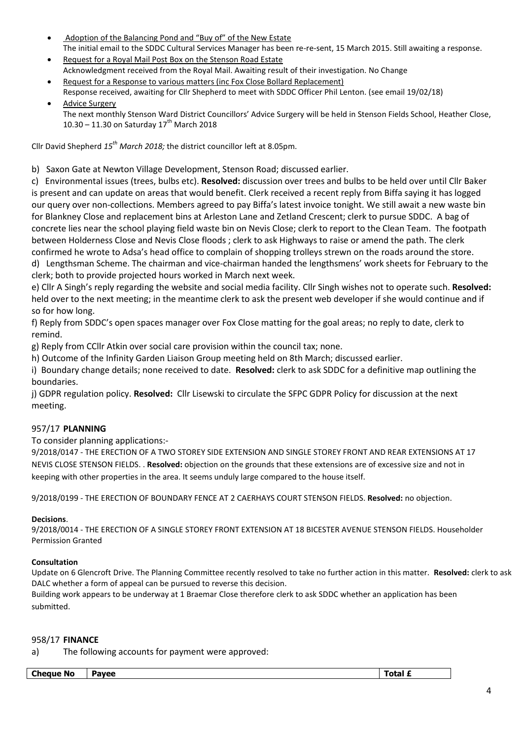- Adoption of the Balancing Pond and "Buy of" of the New Estate The initial email to the SDDC Cultural Services Manager has been re-re-sent, 15 March 2015. Still awaiting a response.
- Request for a Royal Mail Post Box on the Stenson Road Estate Acknowledgment received from the Royal Mail. Awaiting result of their investigation. No Change
- Request for a Response to various matters (inc Fox Close Bollard Replacement) Response received, awaiting for Cllr Shepherd to meet with SDDC Officer Phil Lenton. (see email 19/02/18)
- Advice Surgery The next monthly Stenson Ward District Councillors' Advice Surgery will be held in Stenson Fields School, Heather Close, 10.30 – 11.30 on Saturday  $17^{th}$  March 2018

Cllr David Shepherd *15th March 2018;* the district councillor left at 8.05pm.

b) Saxon Gate at Newton Village Development, Stenson Road; discussed earlier.

c) Environmental issues (trees, bulbs etc). **Resolved:** discussion over trees and bulbs to be held over until Cllr Baker is present and can update on areas that would benefit. Clerk received a recent reply from Biffa saying it has logged our query over non-collections. Members agreed to pay Biffa's latest invoice tonight. We still await a new waste bin for Blankney Close and replacement bins at Arleston Lane and Zetland Crescent; clerk to pursue SDDC. A bag of concrete lies near the school playing field waste bin on Nevis Close; clerk to report to the Clean Team. The footpath between Holderness Close and Nevis Close floods ; clerk to ask Highways to raise or amend the path. The clerk confirmed he wrote to Adsa's head office to complain of shopping trolleys strewn on the roads around the store. d) Lengthsman Scheme. The chairman and vice-chairman handed the lengthsmens' work sheets for February to the clerk; both to provide projected hours worked in March next week.

e) Cllr A Singh's reply regarding the website and social media facility. Cllr Singh wishes not to operate such. **Resolved:** held over to the next meeting; in the meantime clerk to ask the present web developer if she would continue and if so for how long.

f) Reply from SDDC's open spaces manager over Fox Close matting for the goal areas; no reply to date, clerk to remind.

g) Reply from CCllr Atkin over social care provision within the council tax; none.

h) Outcome of the Infinity Garden Liaison Group meeting held on 8th March; discussed earlier.

i) Boundary change details; none received to date. **Resolved:** clerk to ask SDDC for a definitive map outlining the boundaries.

j) GDPR regulation policy. **Resolved:** Cllr Lisewski to circulate the SFPC GDPR Policy for discussion at the next meeting.

# 957/17 **PLANNING**

To consider planning applications:-

9/2018/0147 - THE ERECTION OF A TWO STOREY SIDE EXTENSION AND SINGLE STOREY FRONT AND REAR EXTENSIONS AT 17 NEVIS CLOSE STENSON FIELDS. . **Resolved:** objection on the grounds that these extensions are of excessive size and not in keeping with other properties in the area. It seems unduly large compared to the house itself.

9/2018/0199 - THE ERECTION OF BOUNDARY FENCE AT 2 CAERHAYS COURT STENSON FIELDS. **Resolved:** no objection.

#### **Decisions**.

9/2018/0014 - THE ERECTION OF A SINGLE STOREY FRONT EXTENSION AT 18 BICESTER AVENUE STENSON FIELDS. Householder Permission Granted

#### **Consultation**

Update on 6 Glencroft Drive. The Planning Committee recently resolved to take no further action in this matter. **Resolved:** clerk to ask DALC whether a form of appeal can be pursued to reverse this decision.

Building work appears to be underway at 1 Braemar Close therefore clerk to ask SDDC whether an application has been submitted.

#### 958/17 **FINANCE**

a) The following accounts for payment were approved:

| <b>Cheque</b><br>-----<br>. No<br>AVAC |  |  |
|----------------------------------------|--|--|
|                                        |  |  |